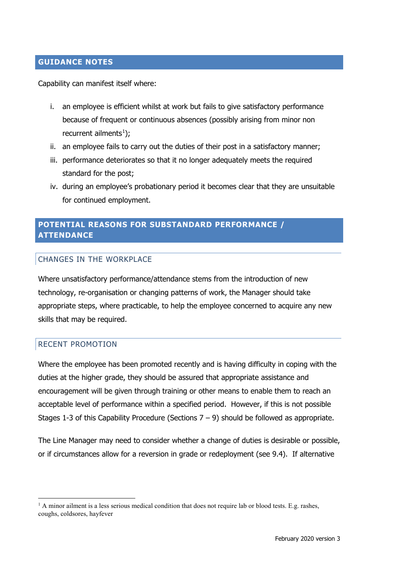#### **GUIDANCE NOTES**

Capability can manifest itself where:

- i. an employee is efficient whilst at work but fails to give satisfactory performance because of frequent or continuous absences (possibly arising from minor non recurrent ailments<sup>[1](#page-0-0)</sup>);
- ii. an employee fails to carry out the duties of their post in a satisfactory manner;
- iii. performance deteriorates so that it no longer adequately meets the required standard for the post;
- iv. during an employee's probationary period it becomes clear that they are unsuitable for continued employment.

## **POTENTIAL REASONS FOR SUBSTANDARD PERFORMANCE / ATTENDANCE**

### CHANGES IN THE WORKPLACE

Where unsatisfactory performance/attendance stems from the introduction of new technology, re-organisation or changing patterns of work, the Manager should take appropriate steps, where practicable, to help the employee concerned to acquire any new skills that may be required.

### RECENT PROMOTION

Where the employee has been promoted recently and is having difficulty in coping with the duties at the higher grade, they should be assured that appropriate assistance and encouragement will be given through training or other means to enable them to reach an acceptable level of performance within a specified period. However, if this is not possible Stages 1-3 of this Capability Procedure (Sections  $7 - 9$ ) should be followed as appropriate.

The Line Manager may need to consider whether a change of duties is desirable or possible, or if circumstances allow for a reversion in grade or redeployment (see 9.4). If alternative

<span id="page-0-0"></span> $<sup>1</sup>$  A minor ailment is a less serious medical condition that does not require lab or blood tests. E.g. rashes,</sup> coughs, coldsores, hayfever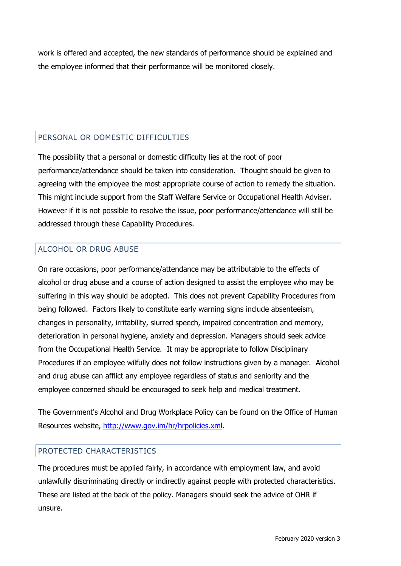work is offered and accepted, the new standards of performance should be explained and the employee informed that their performance will be monitored closely.

## PERSONAL OR DOMESTIC DIFFICULTIES

The possibility that a personal or domestic difficulty lies at the root of poor performance/attendance should be taken into consideration. Thought should be given to agreeing with the employee the most appropriate course of action to remedy the situation. This might include support from the Staff Welfare Service or Occupational Health Adviser. However if it is not possible to resolve the issue, poor performance/attendance will still be addressed through these Capability Procedures.

# ALCOHOL OR DRUG ABUSE

On rare occasions, poor performance/attendance may be attributable to the effects of alcohol or drug abuse and a course of action designed to assist the employee who may be suffering in this way should be adopted. This does not prevent Capability Procedures from being followed. Factors likely to constitute early warning signs include absenteeism, changes in personality, irritability, slurred speech, impaired concentration and memory, deterioration in personal hygiene, anxiety and depression. Managers should seek advice from the Occupational Health Service. It may be appropriate to follow Disciplinary Procedures if an employee wilfully does not follow instructions given by a manager. Alcohol and drug abuse can afflict any employee regardless of status and seniority and the employee concerned should be encouraged to seek help and medical treatment.

The Government's Alcohol and Drug Workplace Policy can be found on the Office of Human Resources website, [http://www.gov.im/hr/hrpolicies.xml.](http://www.gov.im/hr/hrpolicies.xml)

## PROTECTED CHARACTERISTICS

The procedures must be applied fairly, in accordance with employment law, and avoid unlawfully discriminating directly or indirectly against people with protected characteristics. These are listed at the back of the policy. Managers should seek the advice of OHR if unsure.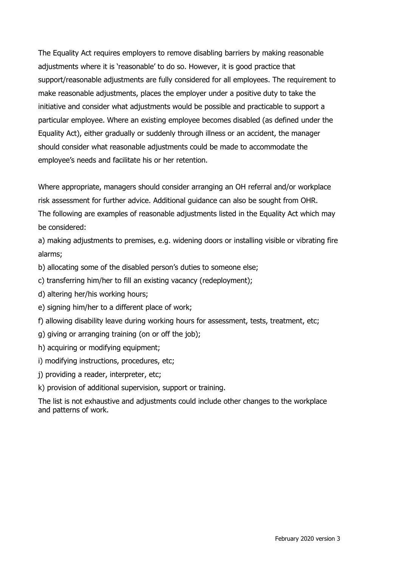The Equality Act requires employers to remove disabling barriers by making reasonable adjustments where it is 'reasonable' to do so. However, it is good practice that support/reasonable adjustments are fully considered for all employees. The requirement to make reasonable adjustments, places the employer under a positive duty to take the initiative and consider what adjustments would be possible and practicable to support a particular employee. Where an existing employee becomes disabled (as defined under the Equality Act), either gradually or suddenly through illness or an accident, the manager should consider what reasonable adjustments could be made to accommodate the employee's needs and facilitate his or her retention.

Where appropriate, managers should consider arranging an OH referral and/or workplace risk assessment for further advice. Additional guidance can also be sought from OHR. The following are examples of reasonable adjustments listed in the Equality Act which may be considered:

a) making adjustments to premises, e.g. widening doors or installing visible or vibrating fire alarms;

- b) allocating some of the disabled person's duties to someone else;
- c) transferring him/her to fill an existing vacancy (redeployment);
- d) altering her/his working hours;
- e) signing him/her to a different place of work;
- f) allowing disability leave during working hours for assessment, tests, treatment, etc;
- g) giving or arranging training (on or off the job);
- h) acquiring or modifying equipment;
- i) modifying instructions, procedures, etc;
- j) providing a reader, interpreter, etc;
- k) provision of additional supervision, support or training.

The list is not exhaustive and adjustments could include other changes to the workplace and patterns of work.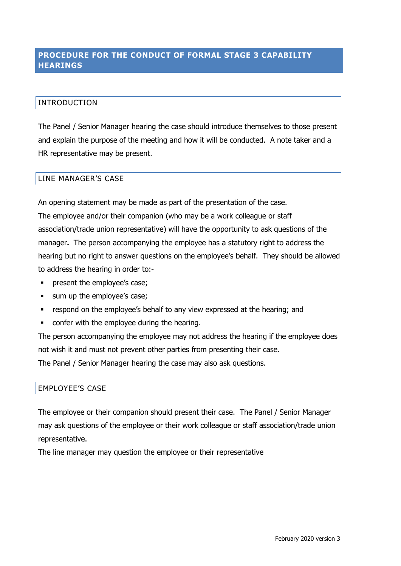## **PROCEDURE FOR THE CONDUCT OF FORMAL STAGE 3 CAPABILITY HEARINGS**

## INTRODUCTION

The Panel / Senior Manager hearing the case should introduce themselves to those present and explain the purpose of the meeting and how it will be conducted. A note taker and a HR representative may be present.

### LINE MANAGER'S CASE

An opening statement may be made as part of the presentation of the case. The employee and/or their companion (who may be a work colleague or staff association/trade union representative) will have the opportunity to ask questions of the manager**.** The person accompanying the employee has a statutory right to address the hearing but no right to answer questions on the employee's behalf. They should be allowed to address the hearing in order to:-

- **•** present the employee's case;
- sum up the employee's case;
- respond on the employee's behalf to any view expressed at the hearing; and
- confer with the employee during the hearing.

The person accompanying the employee may not address the hearing if the employee does not wish it and must not prevent other parties from presenting their case.

The Panel / Senior Manager hearing the case may also ask questions.

### EMPLOYEE'S CASE

The employee or their companion should present their case. The Panel / Senior Manager may ask questions of the employee or their work colleague or staff association/trade union representative.

The line manager may question the employee or their representative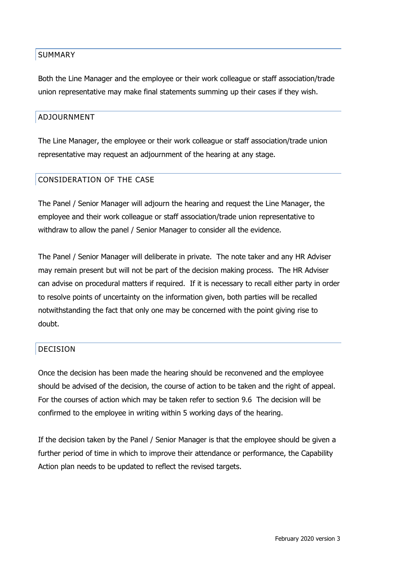### SUMMARY

Both the Line Manager and the employee or their work colleague or staff association/trade union representative may make final statements summing up their cases if they wish.

## ADJOURNMENT

The Line Manager, the employee or their work colleague or staff association/trade union representative may request an adjournment of the hearing at any stage.

## CONSIDERATION OF THE CASE

The Panel / Senior Manager will adjourn the hearing and request the Line Manager, the employee and their work colleague or staff association/trade union representative to withdraw to allow the panel / Senior Manager to consider all the evidence.

The Panel / Senior Manager will deliberate in private. The note taker and any HR Adviser may remain present but will not be part of the decision making process. The HR Adviser can advise on procedural matters if required. If it is necessary to recall either party in order to resolve points of uncertainty on the information given, both parties will be recalled notwithstanding the fact that only one may be concerned with the point giving rise to doubt.

### DECISION

Once the decision has been made the hearing should be reconvened and the employee should be advised of the decision, the course of action to be taken and the right of appeal. For the courses of action which may be taken refer to section 9.6 The decision will be confirmed to the employee in writing within 5 working days of the hearing.

If the decision taken by the Panel / Senior Manager is that the employee should be given a further period of time in which to improve their attendance or performance, the Capability Action plan needs to be updated to reflect the revised targets.